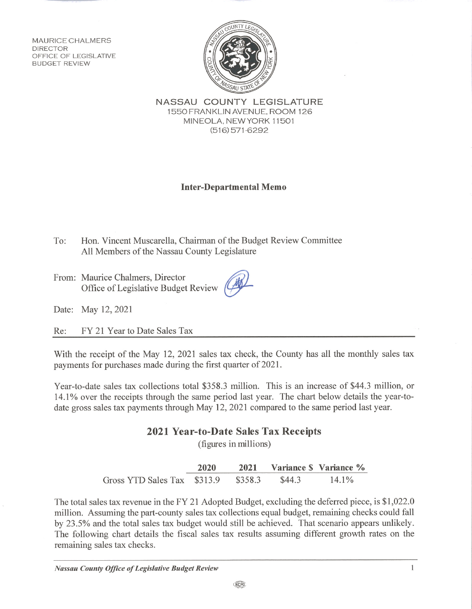**MAURICE CHALMERS DIRECTOR** OFFICE OF LEGISLATIVE **BUDGET REVIEW** 



NASSAU COUNTY LEGISLATURE 1550 FRANKLIN AVENUE, ROOM 126 MINEOLA. NEW YORK 11501  $(516)$  571-6292

## **Inter-Departmental Memo**

Hon. Vincent Muscarella, Chairman of the Budget Review Committee To: All Members of the Nassau County Legislature

From: Maurice Chalmers, Director Office of Legislative Budget Review

Date: May 12, 2021

FY 21 Year to Date Sales Tax Re:

With the receipt of the May 12, 2021 sales tax check, the County has all the monthly sales tax payments for purchases made during the first quarter of 2021.

Year-to-date sales tax collections total \$358.3 million. This is an increase of \$44.3 million, or 14.1% over the receipts through the same period last year. The chart below details the year-todate gross sales tax payments through May 12, 2021 compared to the same period last year.

## 2021 Year-to-Date Sales Tax Receipts

(figures in millions)

2020 2021 Variance \$ Variance % 14.1% Gross YTD Sales Tax \$313.9 \$358.3 \$44.3

The total sales tax revenue in the FY 21 Adopted Budget, excluding the deferred piece, is \$1,022.0 million. Assuming the part-county sales tax collections equal budget, remaining checks could fall by 23.5% and the total sales tax budget would still be achieved. That scenario appears unlikely. The following chart details the fiscal sales tax results assuming different growth rates on the remaining sales tax checks.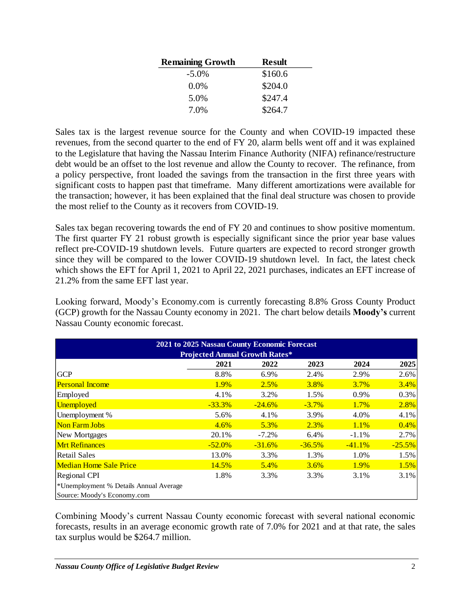| <b>Remaining Growth</b> | <b>Result</b> |
|-------------------------|---------------|
| $-5.0\%$                | \$160.6       |
| $0.0\%$                 | \$204.0       |
| 5.0%                    | \$247.4       |
| 7.0%                    | \$264.7       |

Sales tax is the largest revenue source for the County and when COVID-19 impacted these revenues, from the second quarter to the end of FY 20, alarm bells went off and it was explained to the Legislature that having the Nassau Interim Finance Authority (NIFA) refinance/restructure debt would be an offset to the lost revenue and allow the County to recover. The refinance, from a policy perspective, front loaded the savings from the transaction in the first three years with significant costs to happen past that timeframe. Many different amortizations were available for the transaction; however, it has been explained that the final deal structure was chosen to provide the most relief to the County as it recovers from COVID-19.

Sales tax began recovering towards the end of FY 20 and continues to show positive momentum. The first quarter FY 21 robust growth is especially significant since the prior year base values reflect pre-COVID-19 shutdown levels. Future quarters are expected to record stronger growth since they will be compared to the lower COVID-19 shutdown level. In fact, the latest check which shows the EFT for April 1, 2021 to April 22, 2021 purchases, indicates an EFT increase of 21.2% from the same EFT last year.

Looking forward, Moody's Economy.com is currently forecasting 8.8% Gross County Product (GCP) growth for the Nassau County economy in 2021. The chart below details **Moody's** current Nassau County economic forecast.

| 2021 to 2025 Nassau County Economic Forecast<br><b>Projected Annual Growth Rates*</b> |           |          |          |             |          |  |  |
|---------------------------------------------------------------------------------------|-----------|----------|----------|-------------|----------|--|--|
|                                                                                       | 2021      | 2022     | 2023     | 2024        | 2025     |  |  |
| <b>GCP</b>                                                                            | 8.8%      | 6.9%     | 2.4%     | 2.9%        | 2.6%     |  |  |
| <b>Personal Income</b>                                                                | 1.9%      | 2.5%     | 3.8%     | <b>3.7%</b> | 3.4%     |  |  |
| Employed                                                                              | 4.1%      | 3.2%     | 1.5%     | 0.9%        | 0.3%     |  |  |
| <b>Unemployed</b>                                                                     | $-33.3%$  | $-24.6%$ | $-3.7\%$ | 1.7%        | 2.8%     |  |  |
| Unemployment %                                                                        | 5.6%      | 4.1%     | 3.9%     | 4.0%        | 4.1%     |  |  |
| <b>Non Farm Jobs</b>                                                                  | 4.6%      | 5.3%     | 2.3%     | 1.1%        | 0.4%     |  |  |
| New Mortgages                                                                         | 20.1%     | $-7.2\%$ | 6.4%     | $-1.1\%$    | 2.7%     |  |  |
| <b>Mrt Refinances</b>                                                                 | $-52.0\%$ | $-31.6%$ | $-36.5%$ | $-41.1%$    | $-25.5%$ |  |  |
| <b>Retail Sales</b>                                                                   | 13.0%     | 3.3%     | 1.3%     | 1.0%        | 1.5%     |  |  |
| <b>Median Home Sale Price</b>                                                         | 14.5%     | 5.4%     | 3.6%     | 1.9%        | 1.5%     |  |  |
| Regional CPI                                                                          | 1.8%      | 3.3%     | 3.3%     | 3.1%        | 3.1%     |  |  |
| *Unemployment % Details Annual Average                                                |           |          |          |             |          |  |  |
| Source: Moody's Economy.com                                                           |           |          |          |             |          |  |  |

Combining Moody's current Nassau County economic forecast with several national economic forecasts, results in an average economic growth rate of 7.0% for 2021 and at that rate, the sales tax surplus would be \$264.7 million.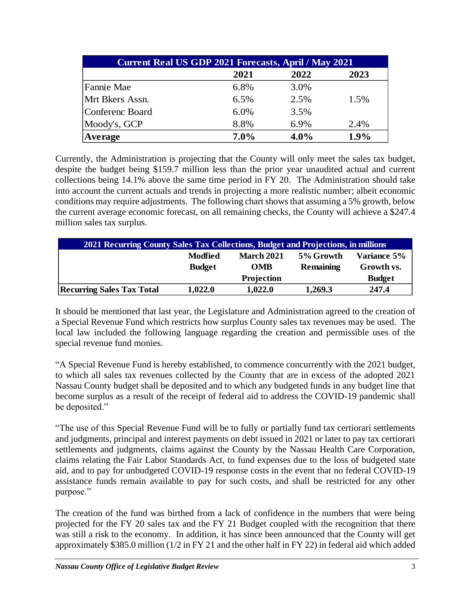| <b>Current Real US GDP 2021 Forecasts, April / May 2021</b> |         |         |      |  |  |  |
|-------------------------------------------------------------|---------|---------|------|--|--|--|
|                                                             | 2021    | 2022    | 2023 |  |  |  |
| Fannie Mae                                                  | 6.8%    | 3.0%    |      |  |  |  |
| Mrt Bkers Assn.                                             | 6.5%    | 2.5%    | 1.5% |  |  |  |
| <b>Conferenc Board</b>                                      | 6.0%    | 3.5%    |      |  |  |  |
| Moody's, GCP                                                | 8.8%    | 6.9%    | 2.4% |  |  |  |
| Average                                                     | $7.0\%$ | $4.0\%$ | 1.9% |  |  |  |

Currently, the Administration is projecting that the County will only meet the sales tax budget, despite the budget being \$159.7 million less than the prior year unaudited actual and current collections being 14.1% above the same time period in FY 20. The Administration should take into account the current actuals and trends in projecting a more realistic number; albeit economic conditions may require adjustments. The following chart shows that assuming a 5% growth, below the current average economic forecast, on all remaining checks, the County will achieve a \$247.4 million sales tax surplus.

| 2021 Recurring County Sales Tax Collections, Budget and Projections, in millions |               |                   |                  |               |  |  |
|----------------------------------------------------------------------------------|---------------|-------------------|------------------|---------------|--|--|
|                                                                                  | Modfied       | <b>March 2021</b> | 5% Growth        | Variance 5%   |  |  |
|                                                                                  | <b>Budget</b> | <b>OMB</b>        | <b>Remaining</b> | Growth vs.    |  |  |
|                                                                                  |               | Projection        |                  | <b>Budget</b> |  |  |
| <b>Recurring Sales Tax Total</b>                                                 | 1,022.0       | 1,022.0           | 1,269.3          | 247.4         |  |  |

It should be mentioned that last year, the Legislature and Administration agreed to the creation of a Special Revenue Fund which restricts how surplus County sales tax revenues may be used. The local law included the following language regarding the creation and permissible uses of the special revenue fund monies.

"A Special Revenue Fund is hereby established, to commence concurrently with the 2021 budget, to which all sales tax revenues collected by the County that are in excess of the adopted 2021 Nassau County budget shall be deposited and to which any budgeted funds in any budget line that become surplus as a result of the receipt of federal aid to address the COVID-19 pandemic shall be deposited."

"The use of this Special Revenue Fund will be to fully or partially fund tax certiorari settlements and judgments, principal and interest payments on debt issued in 2021 or later to pay tax certiorari settlements and judgments, claims against the County by the Nassau Health Care Corporation, claims relating the Fair Labor Standards Act, to fund expenses due to the loss of budgeted state aid, and to pay for unbudgeted COVID-19 response costs in the event that no federal COVID-19 assistance funds remain available to pay for such costs, and shall be restricted for any other purpose."

The creation of the fund was birthed from a lack of confidence in the numbers that were being projected for the FY 20 sales tax and the FY 21 Budget coupled with the recognition that there was still a risk to the economy. In addition, it has since been announced that the County will get approximately \$385.0 million (1/2 in FY 21 and the other half in FY 22) in federal aid which added